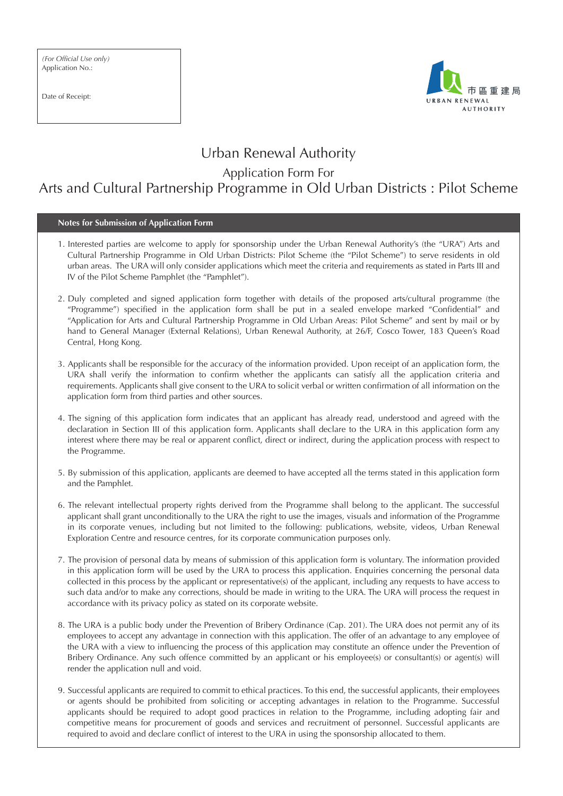Date of Receipt:



## Urban Renewal Authority

Application Form For

## Arts and Cultural Partnership Programme in Old Urban Districts : Pilot Scheme

**Notes for Submission of Application Form**

- 1. Interested parties are welcome to apply for sponsorship under the Urban Renewal Authority's (the "URA") Arts and Cultural Partnership Programme in Old Urban Districts: Pilot Scheme (the "Pilot Scheme") to serve residents in old urban areas. The URA will only consider applications which meet the criteria and requirements as stated in Parts III and IV of the Pilot Scheme Pamphlet (the "Pamphlet").
- 2. Duly completed and signed application form together with details of the proposed arts/cultural programme (the "Programme") specified in the application form shall be put in a sealed envelope marked "Confidential" and "Application for Arts and Cultural Partnership Programme in Old Urban Areas: Pilot Scheme" and sent by mail or by hand to General Manager (External Relations), Urban Renewal Authority, at 26/F, Cosco Tower, 183 Queen's Road Central, Hong Kong.
- 3. Applicants shall be responsible for the accuracy of the information provided. Upon receipt of an application form, the URA shall verify the information to confirm whether the applicants can satisfy all the application criteria and requirements. Applicants shall give consent to the URA to solicit verbal or written confirmation of all information on the application form from third parties and other sources.
- 4. The signing of this application form indicates that an applicant has already read, understood and agreed with the declaration in Section III of this application form. Applicants shall declare to the URA in this application form any interest where there may be real or apparent conflict, direct or indirect, during the application process with respect to the Programme.
- 5. By submission of this application, applicants are deemed to have accepted all the terms stated in this application form and the Pamphlet.
- 6. The relevant intellectual property rights derived from the Programme shall belong to the applicant. The successful applicant shall grant unconditionally to the URA the right to use the images, visuals and information of the Programme in its corporate venues, including but not limited to the following: publications, website, videos, Urban Renewal Exploration Centre and resource centres, for its corporate communication purposes only.
- 7. The provision of personal data by means of submission of this application form is voluntary. The information provided in this application form will be used by the URA to process this application. Enquiries concerning the personal data collected in this process by the applicant or representative(s) of the applicant, including any requests to have access to such data and/or to make any corrections, should be made in writing to the URA. The URA will process the request in accordance with its privacy policy as stated on its corporate website.
- 8. The URA is a public body under the Prevention of Bribery Ordinance (Cap. 201). The URA does not permit any of its employees to accept any advantage in connection with this application. The offer of an advantage to any employee of the URA with a view to influencing the process of this application may constitute an offence under the Prevention of Bribery Ordinance. Any such offence committed by an applicant or his employee(s) or consultant(s) or agent(s) will render the application null and void.
- 9. Successful applicants are required to commit to ethical practices. To this end, the successful applicants, their employees or agents should be prohibited from soliciting or accepting advantages in relation to the Programme. Successful applicants should be required to adopt good practices in relation to the Programme, including adopting fair and competitive means for procurement of goods and services and recruitment of personnel. Successful applicants are required to avoid and declare conflict of interest to the URA in using the sponsorship allocated to them.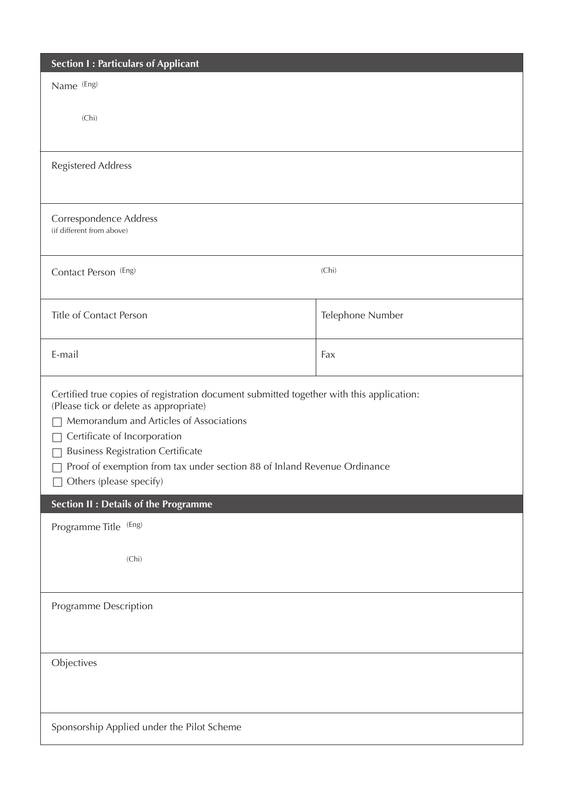| <b>Section I: Particulars of Applicant</b>                                                                                                                                                                                                                                                                                                                       |                  |  |
|------------------------------------------------------------------------------------------------------------------------------------------------------------------------------------------------------------------------------------------------------------------------------------------------------------------------------------------------------------------|------------------|--|
| Name (Eng)                                                                                                                                                                                                                                                                                                                                                       |                  |  |
| (Chi)                                                                                                                                                                                                                                                                                                                                                            |                  |  |
| <b>Registered Address</b>                                                                                                                                                                                                                                                                                                                                        |                  |  |
| Correspondence Address<br>(if different from above)                                                                                                                                                                                                                                                                                                              |                  |  |
| Contact Person (Eng)                                                                                                                                                                                                                                                                                                                                             | (Chi)            |  |
| Title of Contact Person                                                                                                                                                                                                                                                                                                                                          | Telephone Number |  |
| E-mail                                                                                                                                                                                                                                                                                                                                                           | Fax              |  |
| Certified true copies of registration document submitted together with this application:<br>(Please tick or delete as appropriate)<br>Memorandum and Articles of Associations<br>Certificate of Incorporation<br><b>Business Registration Certificate</b><br>Proof of exemption from tax under section 88 of Inland Revenue Ordinance<br>Others (please specify) |                  |  |
| <b>Section II: Details of the Programme</b>                                                                                                                                                                                                                                                                                                                      |                  |  |
| Programme Title (Eng)                                                                                                                                                                                                                                                                                                                                            |                  |  |
| (Chi)                                                                                                                                                                                                                                                                                                                                                            |                  |  |
| Programme Description                                                                                                                                                                                                                                                                                                                                            |                  |  |
| Objectives                                                                                                                                                                                                                                                                                                                                                       |                  |  |
| Sponsorship Applied under the Pilot Scheme                                                                                                                                                                                                                                                                                                                       |                  |  |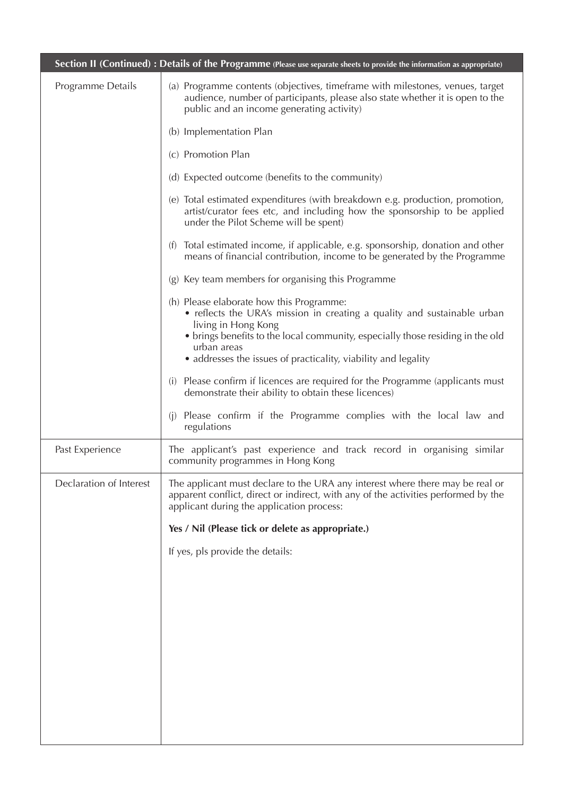|                         | Section II (Continued): Details of the Programme (Please use separate sheets to provide the information as appropriate)                                                                                                                                                                                        |  |
|-------------------------|----------------------------------------------------------------------------------------------------------------------------------------------------------------------------------------------------------------------------------------------------------------------------------------------------------------|--|
| Programme Details       | (a) Programme contents (objectives, time frame with milestones, venues, target<br>audience, number of participants, please also state whether it is open to the<br>public and an income generating activity)                                                                                                   |  |
|                         | (b) Implementation Plan                                                                                                                                                                                                                                                                                        |  |
|                         | (c) Promotion Plan                                                                                                                                                                                                                                                                                             |  |
|                         | (d) Expected outcome (benefits to the community)                                                                                                                                                                                                                                                               |  |
|                         | (e) Total estimated expenditures (with breakdown e.g. production, promotion,<br>artist/curator fees etc, and including how the sponsorship to be applied<br>under the Pilot Scheme will be spent)                                                                                                              |  |
|                         | Total estimated income, if applicable, e.g. sponsorship, donation and other<br>(f)<br>means of financial contribution, income to be generated by the Programme                                                                                                                                                 |  |
|                         | Key team members for organising this Programme<br>(g)                                                                                                                                                                                                                                                          |  |
|                         | (h) Please elaborate how this Programme:<br>• reflects the URA's mission in creating a quality and sustainable urban<br>living in Hong Kong<br>• brings benefits to the local community, especially those residing in the old<br>urban areas<br>• addresses the issues of practicality, viability and legality |  |
|                         | (i) Please confirm if licences are required for the Programme (applicants must<br>demonstrate their ability to obtain these licences)                                                                                                                                                                          |  |
|                         | Please confirm if the Programme complies with the local law and<br>(i)<br>regulations                                                                                                                                                                                                                          |  |
| Past Experience         | The applicant's past experience and track record in organising similar<br>community programmes in Hong Kong                                                                                                                                                                                                    |  |
| Declaration of Interest | The applicant must declare to the URA any interest where there may be real or<br>apparent conflict, direct or indirect, with any of the activities performed by the<br>applicant during the application process:                                                                                               |  |
|                         | Yes / Nil (Please tick or delete as appropriate.)                                                                                                                                                                                                                                                              |  |
|                         | If yes, pls provide the details:                                                                                                                                                                                                                                                                               |  |
|                         |                                                                                                                                                                                                                                                                                                                |  |
|                         |                                                                                                                                                                                                                                                                                                                |  |
|                         |                                                                                                                                                                                                                                                                                                                |  |
|                         |                                                                                                                                                                                                                                                                                                                |  |
|                         |                                                                                                                                                                                                                                                                                                                |  |
|                         |                                                                                                                                                                                                                                                                                                                |  |
|                         |                                                                                                                                                                                                                                                                                                                |  |
|                         |                                                                                                                                                                                                                                                                                                                |  |